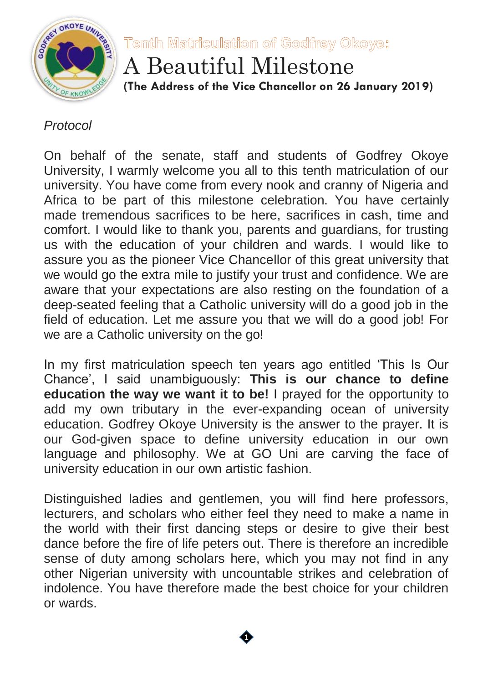

Tenth Matriculation of Godfrey Okoye:

A Beautiful Milestone **(The Address of the Vice Chancellor on 26 January 2019)**

## *Protocol*

On behalf of the senate, staff and students of Godfrey Okoye University, I warmly welcome you all to this tenth matriculation of our university. You have come from every nook and cranny of Nigeria and Africa to be part of this milestone celebration. You have certainly made tremendous sacrifices to be here, sacrifices in cash, time and comfort. I would like to thank you, parents and guardians, for trusting us with the education of your children and wards. I would like to assure you as the pioneer Vice Chancellor of this great university that we would go the extra mile to justify your trust and confidence. We are aware that your expectations are also resting on the foundation of a deep-seated feeling that a Catholic university will do a good job in the field of education. Let me assure you that we will do a good job! For we are a Catholic university on the go!

In my first matriculation speech ten years ago entitled 'This Is Our Chance', I said unambiguously: **This is our chance to define education the way we want it to be!** I prayed for the opportunity to add my own tributary in the ever-expanding ocean of university education. Godfrey Okoye University is the answer to the prayer. It is our God-given space to define university education in our own language and philosophy. We at GO Uni are carving the face of university education in our own artistic fashion.

Distinguished ladies and gentlemen, you will find here professors, lecturers, and scholars who either feel they need to make a name in the world with their first dancing steps or desire to give their best dance before the fire of life peters out. There is therefore an incredible sense of duty among scholars here, which you may not find in any other Nigerian university with uncountable strikes and celebration of indolence. You have therefore made the best choice for your children or wards.

**1**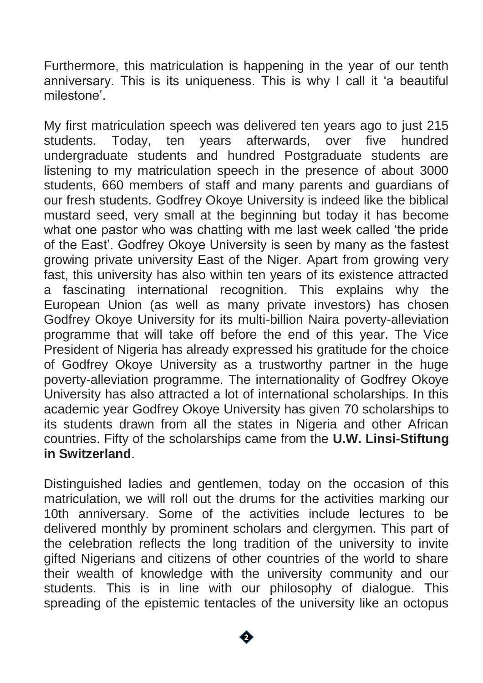Furthermore, this matriculation is happening in the year of our tenth anniversary. This is its uniqueness. This is why I call it 'a beautiful milestone'.

My first matriculation speech was delivered ten years ago to just 215 students. Today, ten years afterwards, over five hundred undergraduate students and hundred Postgraduate students are listening to my matriculation speech in the presence of about 3000 students, 660 members of staff and many parents and guardians of our fresh students. Godfrey Okoye University is indeed like the biblical mustard seed, very small at the beginning but today it has become what one pastor who was chatting with me last week called 'the pride of the East'. Godfrey Okoye University is seen by many as the fastest growing private university East of the Niger. Apart from growing very fast, this university has also within ten years of its existence attracted a fascinating international recognition. This explains why the European Union (as well as many private investors) has chosen Godfrey Okoye University for its multi-billion Naira poverty-alleviation programme that will take off before the end of this year. The Vice President of Nigeria has already expressed his gratitude for the choice of Godfrey Okoye University as a trustworthy partner in the huge poverty-alleviation programme. The internationality of Godfrey Okoye University has also attracted a lot of international scholarships. In this academic year Godfrey Okoye University has given 70 scholarships to its students drawn from all the states in Nigeria and other African countries. Fifty of the scholarships came from the **U.W. Linsi-Stiftung in Switzerland**.

Distinguished ladies and gentlemen, today on the occasion of this matriculation, we will roll out the drums for the activities marking our 10th anniversary. Some of the activities include lectures to be delivered monthly by prominent scholars and clergymen. This part of the celebration reflects the long tradition of the university to invite gifted Nigerians and citizens of other countries of the world to share their wealth of knowledge with the university community and our students. This is in line with our philosophy of dialogue. This spreading of the epistemic tentacles of the university like an octopus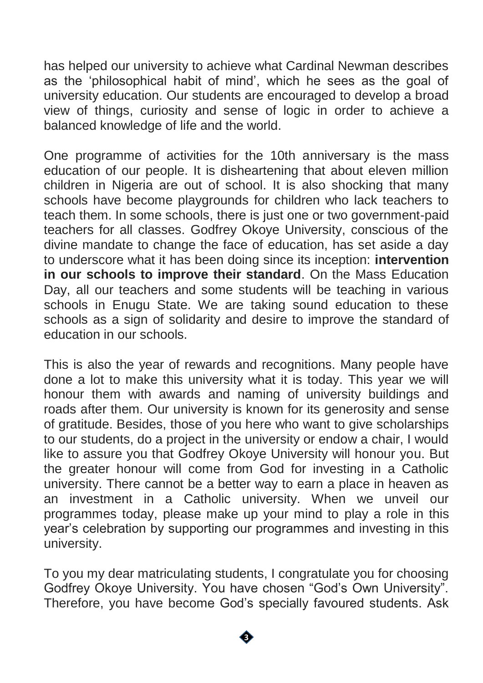has helped our university to achieve what Cardinal Newman describes as the 'philosophical habit of mind', which he sees as the goal of university education. Our students are encouraged to develop a broad view of things, curiosity and sense of logic in order to achieve a balanced knowledge of life and the world.

One programme of activities for the 10th anniversary is the mass education of our people. It is disheartening that about eleven million children in Nigeria are out of school. It is also shocking that many schools have become playgrounds for children who lack teachers to teach them. In some schools, there is just one or two government-paid teachers for all classes. Godfrey Okoye University, conscious of the divine mandate to change the face of education, has set aside a day to underscore what it has been doing since its inception: **intervention in our schools to improve their standard**. On the Mass Education Day, all our teachers and some students will be teaching in various schools in Enugu State. We are taking sound education to these schools as a sign of solidarity and desire to improve the standard of education in our schools.

This is also the year of rewards and recognitions. Many people have done a lot to make this university what it is today. This year we will honour them with awards and naming of university buildings and roads after them. Our university is known for its generosity and sense of gratitude. Besides, those of you here who want to give scholarships to our students, do a project in the university or endow a chair, I would like to assure you that Godfrey Okoye University will honour you. But the greater honour will come from God for investing in a Catholic university. There cannot be a better way to earn a place in heaven as an investment in a Catholic university. When we unveil our programmes today, please make up your mind to play a role in this year's celebration by supporting our programmes and investing in this university.

To you my dear matriculating students, I congratulate you for choosing Godfrey Okoye University. You have chosen "God's Own University". Therefore, you have become God's specially favoured students. Ask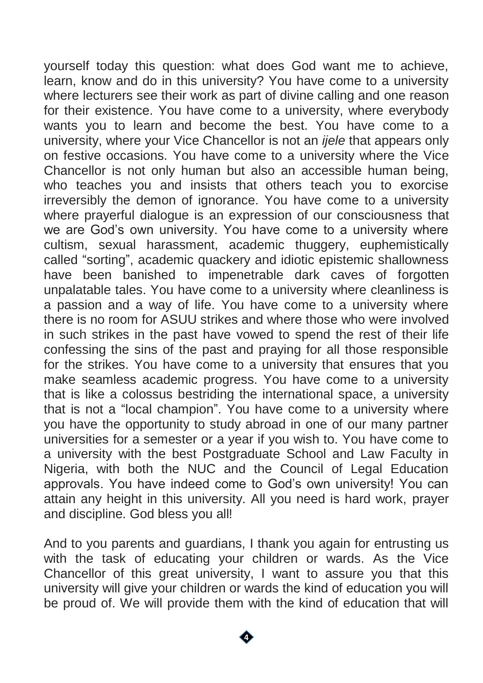yourself today this question: what does God want me to achieve, learn, know and do in this university? You have come to a university where lecturers see their work as part of divine calling and one reason for their existence. You have come to a university, where everybody wants you to learn and become the best. You have come to a university, where your Vice Chancellor is not an *ijele* that appears only on festive occasions. You have come to a university where the Vice Chancellor is not only human but also an accessible human being, who teaches you and insists that others teach you to exorcise irreversibly the demon of ignorance. You have come to a university where prayerful dialogue is an expression of our consciousness that we are God's own university. You have come to a university where cultism, sexual harassment, academic thuggery, euphemistically called "sorting", academic quackery and idiotic epistemic shallowness have been banished to impenetrable dark caves of forgotten unpalatable tales. You have come to a university where cleanliness is a passion and a way of life. You have come to a university where there is no room for ASUU strikes and where those who were involved in such strikes in the past have vowed to spend the rest of their life confessing the sins of the past and praying for all those responsible for the strikes. You have come to a university that ensures that you make seamless academic progress. You have come to a university that is like a colossus bestriding the international space, a university that is not a "local champion". You have come to a university where you have the opportunity to study abroad in one of our many partner universities for a semester or a year if you wish to. You have come to a university with the best Postgraduate School and Law Faculty in Nigeria, with both the NUC and the Council of Legal Education approvals. You have indeed come to God's own university! You can attain any height in this university. All you need is hard work, prayer and discipline. God bless you all!

And to you parents and guardians, I thank you again for entrusting us with the task of educating your children or wards. As the Vice Chancellor of this great university, I want to assure you that this university will give your children or wards the kind of education you will be proud of. We will provide them with the kind of education that will